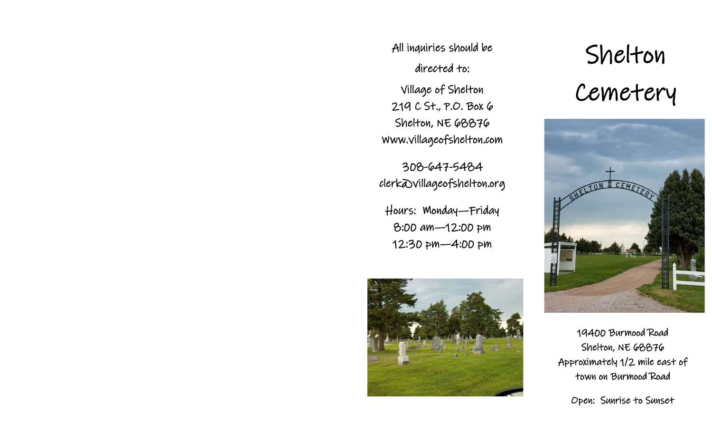All inquiries should be directed to:

Village of Shelton 219 C St., P.O. Box 6 Shelton, NE 68876 Www.villageofshelton.com

308-647-5484 clerk@villageofshelton.org

Hours: Monday—Friday 8:00 am—12:00 pm 12:30 pm—4:00 pm



Shelton Cemetery



19400 Burmood Road Shelton, NE 68876 Approximately 1/2 mile east of town on Burmood Road

Open: Sunrise to Sunset